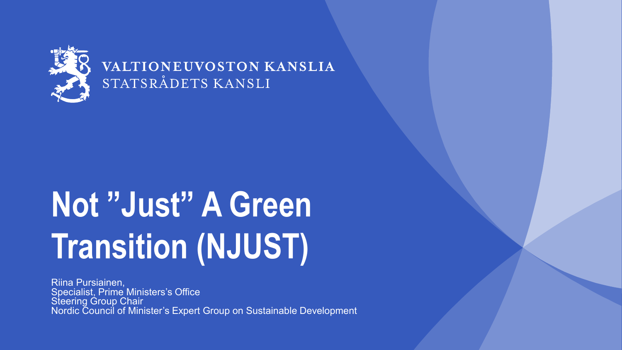

### VALTIONEUVOSTON KANSLIA STATSRÅDETS KANSLI

# **Not "Just" A Green Transition (NJUST)**

Riina Pursiainen, Specialist, Prime Ministers's Office Steering Group Chair Nordic Council of Minister's Expert Group on Sustainable Development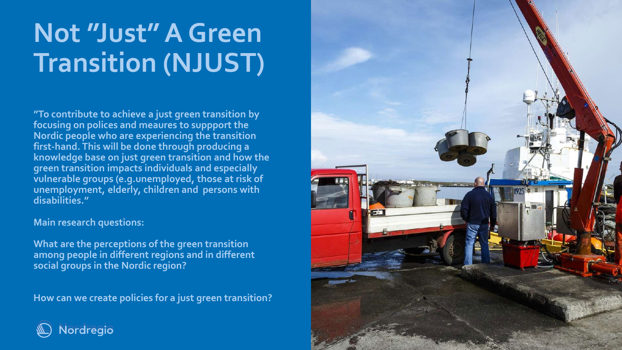### **Not "Just" A Green Transition (NJUST)**

**"To contribute to achieve a just green transition by focusing on polices and meaures to suppport the Nordic people who are experiencing the transition first-hand. This will be done through producing a knowledge base on just green transition and how the green transition impacts individuals and especially vulnerable groups (e.g.unemployed, those at risk of unemployment, elderly, children and persons with disabilities."**

**Main research questions:** 

**What are the perceptions of the green transition among people in different regions and in different social groups in the Nordic region?**

**How can we create policies for a just green transition?**



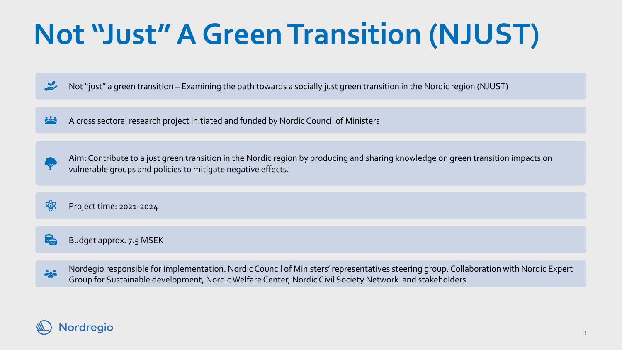## **Not "Just" A Green Transition (NJUST)**

Not "just" a green transition – Examining the path towards a socially just green transition in the Nordic region (NJUST)  $\mathbf{y}$ 

<u>ris</u> A cross sectoral research project initiated and funded by Nordic Council of Ministers

Aim: Contribute to a just green transition in the Nordic region by producing and sharing knowledge on green transition impacts on vulnerable groups and policies to mitigate negative effects.

\$ Project time: 2021-2024

**New York** Budget approx. 7.5 MSEK

> Nordegio responsible for implementation. Nordic Council of Ministers' representatives steering group. Collaboration with Nordic Expert Group for Sustainable development, Nordic Welfare Center, Nordic Civil Society Network and stakeholders.



202